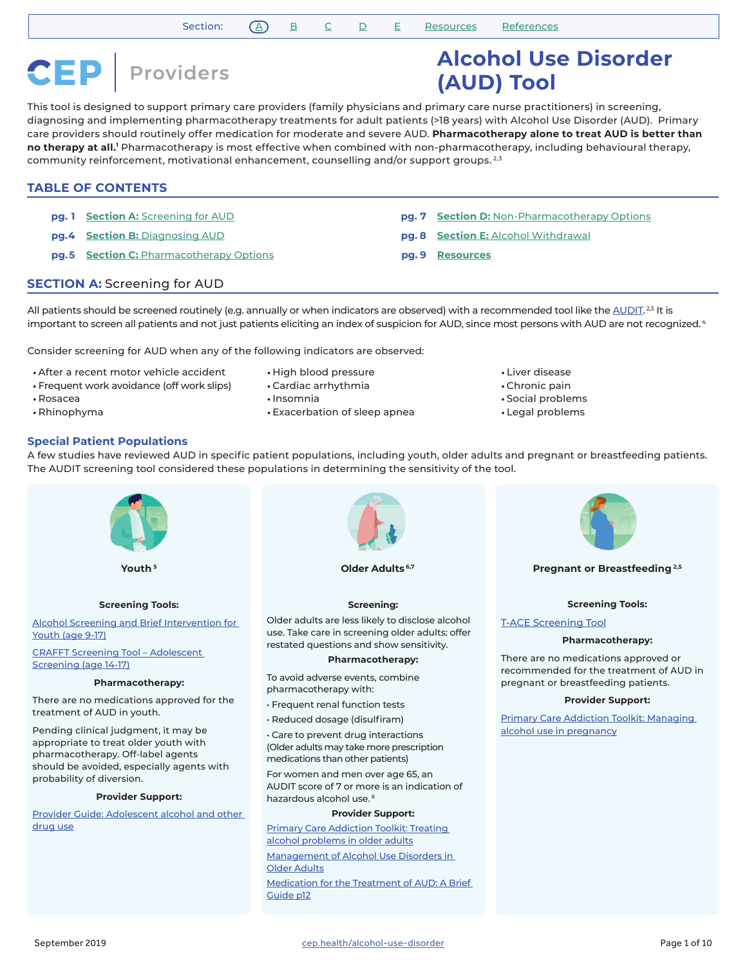**CEP** Providers

# **Alcohol Use Disorder (AUD) Tool**

This tool is designed to support primary care providers (family physicians and primary care nurse practitioners) in screening, diagnosing and implementing pharmacotherapy treatments for adult patients (>18 years) with Alcohol Use Disorder (AUD). Primary care providers should routinely offer medication for moderate and severe AUD. **Pharmacotherapy alone to treat AUD is better than**  no therapy at all.<sup>1</sup> Pharmacotherapy is most effective when combined with non-pharmacotherapy, including behavioural therapy, community reinforcement, motivational enhancement, counselling and/or support groups.<sup>2,3</sup>

# **TABLE OF CONTENTS**

- **pg. 1 Section A:** [Screening for AUD](#page-0-0)
- **pg.4 Section B:** [Diagnosing AUD](#page-3-0)
- **pg.5** Section C: [Pharmacotherapy Options](#page-4-0)
- **pg. 7 Section D:** [Non-Pharmacotherapy Options](#page-6-0)
- **pg. 8 Section E:** [Alcohol Withdrawal](#page-7-0)
- **pg. 9 [Resources](#page-8-0)**

# <span id="page-0-0"></span>**SECTION A:** Screening for AUD

All patients should be screened routinely (e.g. annually or when indicators are observed) with a recommended tool like the <u>AUDIT.23</u> It is important to screen all patients and not just patients eliciting an index of suspicion for AUD, since most persons with AUD are not recognized.<sup>4</sup>

Consider screening for AUD when any of the following indicators are observed:

- After a recent motor vehicle accident
- Frequent work avoidance (off work slips)
- Rosacea
- Rhinophyma
- High blood pressure
- Cardiac arrhythmia
- Insomnia
- Exacerbation of sleep apnea
- Liver disease
- Chronic pain
- Social problems
- Legal problems

## **Special Patient Populations**

A few studies have reviewed AUD in specific patient populations, including youth, older adults and pregnant or breastfeeding patients. The AUDIT screening tool considered these populations in determining the sensitivity of the tool.



[Primary Care Addiction Toolkit: Treating](https://link.cep.health/aud3)  [alcohol problems in older adults](https://link.cep.health/aud3)

[Management of Alcohol Use Disorders in](https://link.cep.health/aud4)  [Older Adults](https://link.cep.health/aud4)

[Medication for the Treatment of AUD: A Brief](https://link.cep.health/aud5)  [Guide p12](https://link.cep.health/aud5)



#### **Pregnant or Breastfeeding 2,5**

#### **Screening Tools:**

#### [T-ACE Screening Tool](https://link.cep.health/aud6)

#### **Pharmacotherapy:**

There are no medications approved or recommended for the treatment of AUD in pregnant or breastfeeding patients.

#### **Provider Support:**

[Primary Care Addiction Toolkit: Managing](https://link.cep.health/aud7)  [alcohol use in pregnancy](https://link.cep.health/aud7)

[drug use](https://link.cep.health/aud2)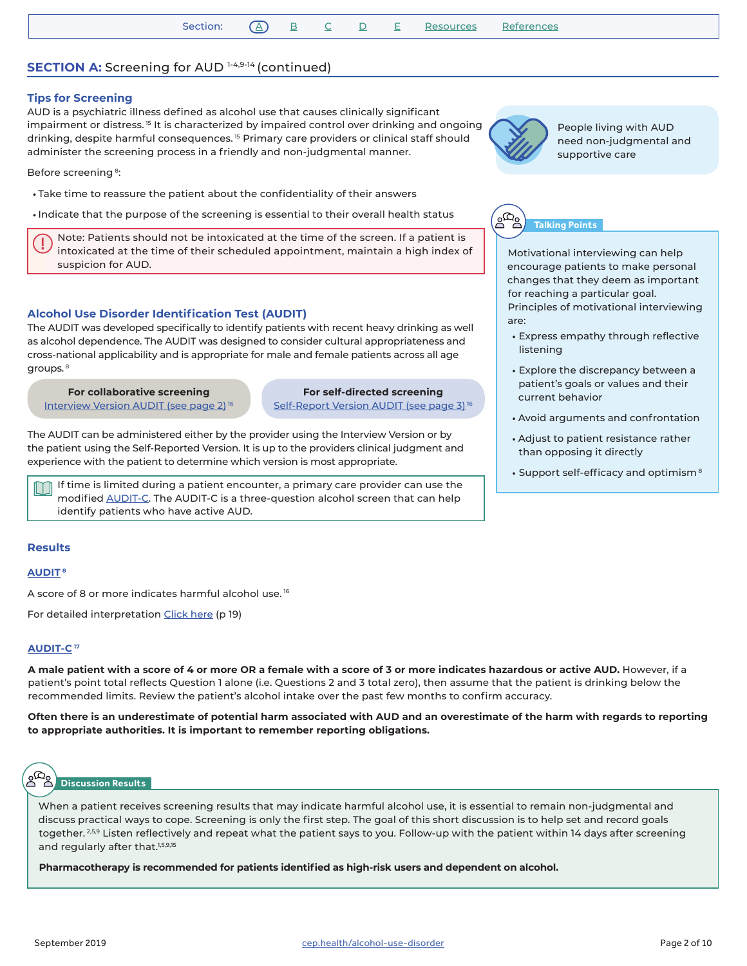# **SECTION A:** Screening for AUD 1-4,9-14 (continued)

## **Tips for Screening**

AUD is a psychiatric illness defined as alcohol use that causes clinically significant impairment or distress.<sup>15</sup> It is characterized by impaired control over drinking and ongoing drinking, despite harmful consequences. 15 Primary care providers or clinical staff should administer the screening process in a friendly and non-judgmental manner.

Before screening 8:

- Take time to reassure the patient about the confidentiality of their answers
- Indicate that the purpose of the screening is essential to their overall health status

Note: Patients should not be intoxicated at the time of the screen. If a patient is intoxicated at the time of their scheduled appointment, maintain a high index of suspicion for AUD.

# **Alcohol Use Disorder Identification Test (AUDIT)**

The AUDIT was developed specifically to identify patients with recent heavy drinking as well as alcohol dependence. The AUDIT was designed to consider cultural appropriateness and cross-national applicability and is appropriate for male and female patients across all age groups.<sup>8</sup>

**For collaborative screening** [Interview Version AUDIT \(see page 2\)](https://link.cep.health/aud8) 16

**For self-directed screening** Self-Report Version AUDIT (see page 3)<sup>16</sup>

The AUDIT can be administered either by the provider using the Interview Version or by the patient using the Self-Reported Version. It is up to the providers clinical judgment and experience with the patient to determine which version is most appropriate.

If time is limited during a patient encounter, a primary care provider can use the modified [AUDIT-C.](https://link.cep.health/aud55) The AUDIT-C is a three-question alcohol screen that can help identify patients who have active AUD.

#### **Results**

#### **[AUDIT](https://link.cep.health/aud8) <sup>8</sup>**

A score of 8 or more indicates harmful alcohol use.<sup>16</sup>

For detailed interpretation Click h[ere](https://link.cep.health/aud9) (p 19)

# **[AUDIT-C](https://link.cep.health/aud55) <sup>17</sup>**

**A male patient with a score of 4 or more OR a female with a score of 3 or more indicates hazardous or active AUD.** However, if a patient's point total reflects Question 1 alone (i.e. Questions 2 and 3 total zero), then assume that the patient is drinking below the recommended limits. Review the patient's alcohol intake over the past few months to confirm accuracy.

**Often there is an underestimate of potential harm associated with AUD and an overestimate of the harm with regards to reporting to appropriate authorities. It is important to remember reporting obligations.**

# **Discussion Results**

When a patient receives screening results that may indicate harmful alcohol use, it is essential to remain non-judgmental and discuss practical ways to cope. Screening is only the first step. The goal of this short discussion is to help set and record goals together.<sup>259</sup> Listen reflectively and repeat what the patient says to you. Follow-up with the patient within 14 days after screening and regularly after that.<sup>1,5,9,15</sup>

**Pharmacotherapy is recommended for patients identified as high-risk users and dependent on alcohol.** 



People living with AUD need non-judgmental and supportive care

**Talking Points**

Motivational interviewing can help encourage patients to make personal changes that they deem as important for reaching a particular goal. Principles of motivational interviewing are:

- Express empathy through reflective listening
- Explore the discrepancy between a patient's goals or values and their current behavior
- Avoid arguments and confrontation
- Adjust to patient resistance rather than opposing it directly
- Support self-efficacy and optimism<sup>8</sup>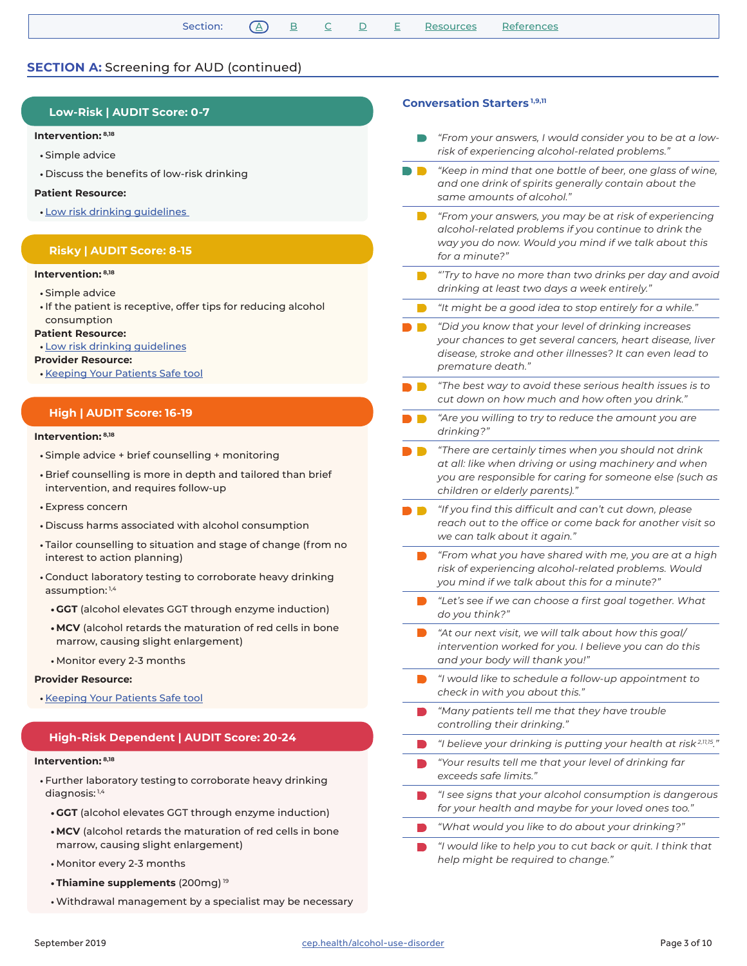# **SECTION A:** Screening for AUD (continued)

# **Low-Risk | AUDIT Score: 0-7**

#### **Intervention: 8,18**

- Simple advice
- Discuss the benefits of low-risk drinking

#### **Patient Resource:**

• [Low risk drinking guidelines](https://link.cep.health/aud10) 

## **Risky | AUDIT Score: 8-15**

#### **Intervention: 8,18**

- Simple advice
- If the patient is receptive, offer tips for reducing alcohol consumption

#### **Patient Resource:**

• [Low risk drinking guidelines](https://link.cep.health/aud10)

#### **Provider Resource:**

• [Keeping Your Patients Safe tool](https://link.cep.health/aud11)

# **High | AUDIT Score: 16-19**

#### **Intervention: 8,18**

- Simple advice + brief counselling + monitoring
- Brief counselling is more in depth and tailored than brief intervention, and requires follow-up
- Express concern
- Discuss harms associated with alcohol consumption
- Tailor counselling to situation and stage of change (from no interest to action planning)
- Conduct laboratory testing to corroborate heavy drinking assumption: 1,4
	- **• GGT** (alcohol elevates GGT through enzyme induction)
	- **• MCV** (alcohol retards the maturation of red cells in bone marrow, causing slight enlargement)
	- Monitor every 2-3 months

#### **Provider Resource:**

• [Keeping Your Patients Safe tool](https://link.cep.health/aud11)

# **High-Risk Dependent | AUDIT Score: 20-24**

#### **Intervention: 8,18**

- Further laboratory testing to corroborate heavy drinking diagnosis: 1,4
	- **• GGT** (alcohol elevates GGT through enzyme induction)
	- **• MCV** (alcohol retards the maturation of red cells in bone marrow, causing slight enlargement)
	- Monitor every 2-3 months
	- **• Thiamine supplements** (200mg) 19
	- Withdrawal management by a specialist may be necessary

#### **Conversation Starters 1,9,11**

- *"From your answers, I would consider you to be at a lowrisk of experiencing alcohol-related problems."*
- *"Keep in mind that one bottle of beer, one glass of wine, and one drink of spirits generally contain about the same amounts of alcohol."* 
	- *"From your answers, you may be at risk of experiencing alcohol-related problems if you continue to drink the way you do now. Would you mind if we talk about this for a minute?"*
- *"'Try to have no more than two drinks per day and avoid drinking at least two days a week entirely."*
- *"It might be a good idea to stop entirely for a while."*
- *"Did you know that your level of drinking increases your chances to get several cancers, heart disease, liver disease, stroke and other illnesses? It can even lead to premature death."*
- *"The best way to avoid these serious health issues is to cut down on how much and how often you drink."*
- *"Are you willing to try to reduce the amount you are drinking?"*
- *"There are certainly times when you should not drink at all: like when driving or using machinery and when you are responsible for caring for someone else (such as children or elderly parents)."*
- *"If you find this difficult and can't cut down, please reach out to the office or come back for another visit so we can talk about it again."*
	- *"From what you have shared with me, you are at a high risk of experiencing alcohol-related problems. Would you mind if we talk about this for a minute?"*
	- *"Let's see if we can choose a first goal together. What do you think?"*
	- *"At our next visit, we will talk about how this goal/ intervention worked for you. I believe you can do this and your body will thank you!"*
	- *"I would like to schedule a follow-up appointment to check in with you about this."*
	- *"Many patients tell me that they have trouble controlling their drinking."*
	- *"I believe your drinking is putting your health at risk 2,11,15."*
	- *"Your results tell me that your level of drinking far exceeds safe limits."*
	- *"I see signs that your alcohol consumption is dangerous for your health and maybe for your loved ones too."*
	- *"What would you like to do about your drinking?"*
	- *"I would like to help you to cut back or quit. I think that help might be required to change."*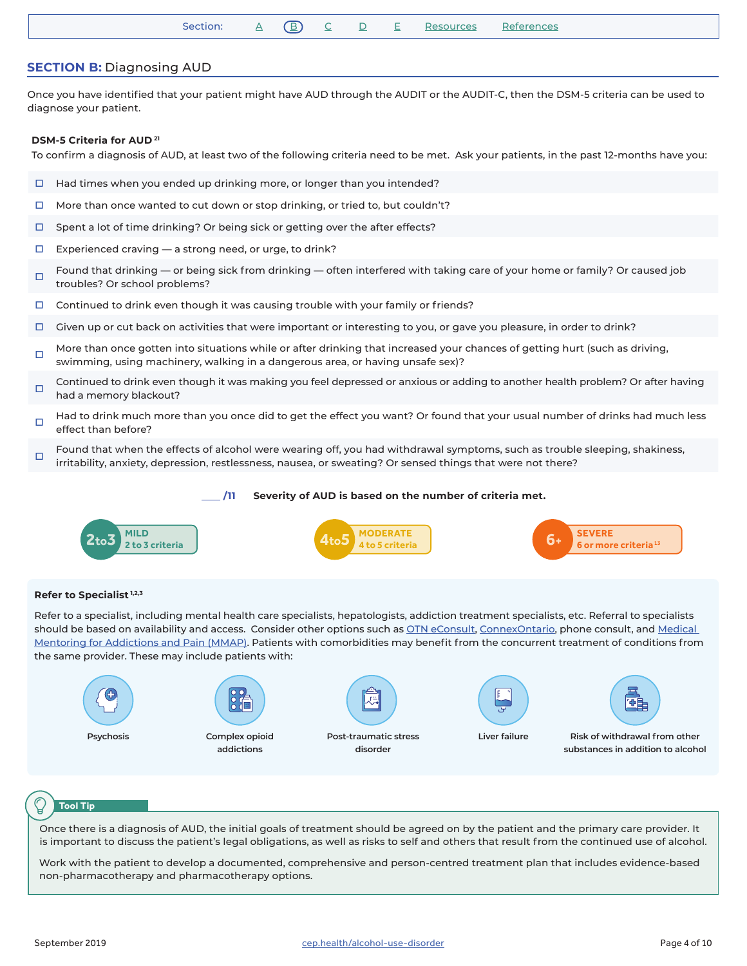# <span id="page-3-0"></span>**SECTION B:** Diagnosing AUD

Once you have identified that your patient might have AUD through the AUDIT or the AUDIT-C, then the DSM-5 criteria can be used to diagnose your patient.

#### **DSM-5 Criteria for AUD 21**

To confirm a diagnosis of AUD, at least two of the following criteria need to be met. Ask your patients, in the past 12-months have you:

- $\Box$  Had times when you ended up drinking more, or longer than you intended?
- $\Box$  More than once wanted to cut down or stop drinking, or tried to, but couldn't?
- $\Box$  Spent a lot of time drinking? Or being sick or getting over the after effects?
- $\Box$  Experienced craving  $-$  a strong need, or urge, to drink?
- Found that drinking or being sick from drinking often interfered with taking care of your home or family? Or caused job troubles? Or school problems?
- $\Box$  Continued to drink even though it was causing trouble with your family or friends?
- $\Box$  Given up or cut back on activities that were important or interesting to you, or gave you pleasure, in order to drink?
- More than once gotten into situations while or after drinking that increased your chances of getting hurt (such as driving, swimming, using machinery, walking in a dangerous area, or having unsafe sex)?
- Continued to drink even though it was making you feel depressed or anxious or adding to another health problem? Or after having<br> had a memory blackout?
- Had to drink much more than you once did to get the effect you want? Or found that your usual number of drinks had much less effect than before?
- Found that when the effects of alcohol were wearing off, you had withdrawal symptoms, such as trouble sleeping, shakiness, irritability, anxiety, depression, restlessness, nausea, or sweating? Or sensed things that were not there?

#### **/11 Severity of AUD is based on the number of criteria met.**



#### **Refer to Specialist 1,2,3**

Refer to a specialist, including mental health care specialists, hepatologists, addiction treatment specialists, etc. Referral to specialists should be based on availability and access. Consider other options such as [OTN eConsult,](https://link.cep.health/aud66) [ConnexOntario,](https://link.cep.health/aud57) phone consult, and Medical [Mentoring for Addictions and Pain \(MMAP\)](https://link.cep.health/aud25). Patients with comorbidities may benefit from the concurrent treatment of conditions from the same provider. These may include patients with:





**Risk of withdrawal from other substances in addition to alcohol**

#### **Tool Tip**

Once there is a diagnosis of AUD, the initial goals of treatment should be agreed on by the patient and the primary care provider. It is important to discuss the patient's legal obligations, as well as risks to self and others that result from the continued use of alcohol.

Work with the patient to develop a documented, comprehensive and person-centred treatment plan that includes evidence-based non-pharmacotherapy and pharmacotherapy options.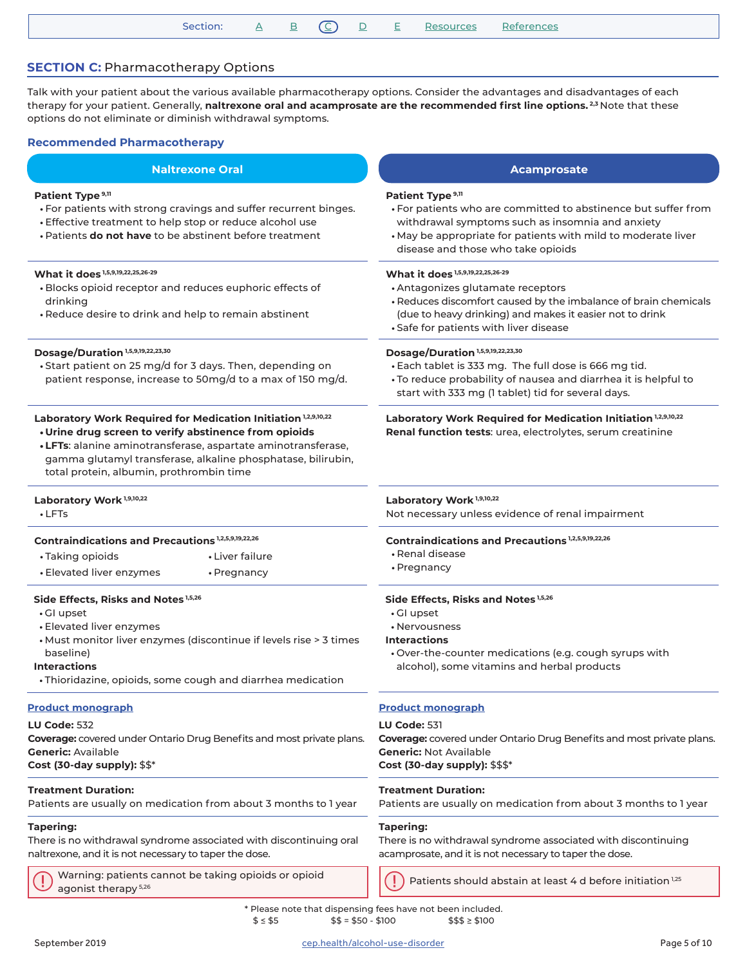| Section: A B C D E Resources References |
|-----------------------------------------|
|-----------------------------------------|

# <span id="page-4-0"></span>**SECTION C: Pharmacotherapy Options**

Talk with your patient about the various available pharmacotherapy options. Consider the advantages and disadvantages of each therapy for your patient. Generally, **naltrexone oral and acamprosate are the recommended first line options. 2,3** Note that these options do not eliminate or diminish withdrawal symptoms.

#### **Recommended Pharmacotherapy**

# **Naltrexone Oral and Contract Contract Contract Contract Contract Contract Contract Contract Contract Contract Contract Contract Contract Contract Contract Contract Contract Contract Contract Contract Contract Contract Con**

#### **Patient Type 9,11**

- For patients with strong cravings and suffer recurrent binges.
- Effective treatment to help stop or reduce alcohol use
- Patients **do not have** to be abstinent before treatment

#### **What it does 1,5,9,19,22,25,26-29**

- Blocks opioid receptor and reduces euphoric effects of drinking
- Reduce desire to drink and help to remain abstinent

# **Dosage/Duration 1,5,9,19,22,23,30**

• Start patient on 25 mg/d for 3 days. Then, depending on patient response, increase to 50mg/d to a max of 150 mg/d.

#### **Laboratory Work Required for Medication Initiation 1,2,9,10,22 • Urine drug screen to verify abstinence from opioids**

**• LFTs**: alanine aminotransferase, aspartate aminotransferase, gamma glutamyl transferase, alkaline phosphatase, bilirubin, total protein, albumin, prothrombin time

#### **Laboratory Work 1,9,10,22**

• LFTs

#### **Contraindications and Precautions 1,2,5,9,19,22,26**

- Taking opioids • Liver failure
- Elevated liver enzymes • Pregnancy

#### **Side Effects, Risks and Notes 1,5,26**

- GI upset
- Elevated liver enzymes
- Must monitor liver enzymes (discontinue if levels rise > 3 times baseline)

#### **Interactions**

• Thioridazine, opioids, some cough and diarrhea medication

#### **[Product monograph](https://link.cep.health/aud12)**

#### **LU Code:** 532

**Coverage:** covered under Ontario Drug Benefits and most private plans. **Generic:** Available **Cost (30-day supply):** \$\$\*

#### **Treatment Duration:**

Patients are usually on medication from about 3 months to 1 year

# **Tapering:**

There is no withdrawal syndrome associated with discontinuing oral naltrexone, and it is not necessary to taper the dose.

Warning: patients cannot be taking opioids or opioid agonist therapy  $5.26$ <br>agonist therapy  $5.26$ <br>agonist therapy  $5.26$ 

#### Patient Type<sup>9,11</sup>

- For patients who are committed to abstinence but suffer from withdrawal symptoms such as insomnia and anxiety
- May be appropriate for patients with mild to moderate liver disease and those who take opioids

#### **What it does 1,5,9,19,22,25,26-29**

- Antagonizes glutamate receptors
- Reduces discomfort caused by the imbalance of brain chemicals (due to heavy drinking) and makes it easier not to drink
- Safe for patients with liver disease

# **Dosage/Duration 1,5,9,19,22,23,30**

- Each tablet is 333 mg. The full dose is 666 mg tid.
- To reduce probability of nausea and diarrhea it is helpful to start with 333 mg (1 tablet) tid for several days.

**Laboratory Work Required for Medication Initiation 1,2,9,10,22 Renal function tests**: urea, electrolytes, serum creatinine

# **Laboratory Work 1,9,10,22**

Not necessary unless evidence of renal impairment

#### **Contraindications and Precautions 1,2,5,9,19,22,26**

- Renal disease
- Pregnancy

#### **Side Effects, Risks and Notes 1,5,26**

- GI upset
- Nervousness
- **Interactions**
- Over-the-counter medications (e.g. cough syrups with alcohol), some vitamins and herbal products

#### **P[roduct monograph](https://link.cep.health/aud13)**

#### **LU Code:** 531

**Coverage:** covered under Ontario Drug Benefits and most private plans. **Generic:** Not Available **Cost (30-day supply):** \$\$\$\*

#### **Treatment Duration:**

Patients are usually on medication from about 3 months to 1 year

#### **Tapering:**

There is no withdrawal syndrome associated with discontinuing acamprosate, and it is not necessary to taper the dose.

\* Please note that dispensing fees have not been included.  $$ \leq $5$  \$5  $$ \leq $50 - $100$  \$\$\$  $\geq $100$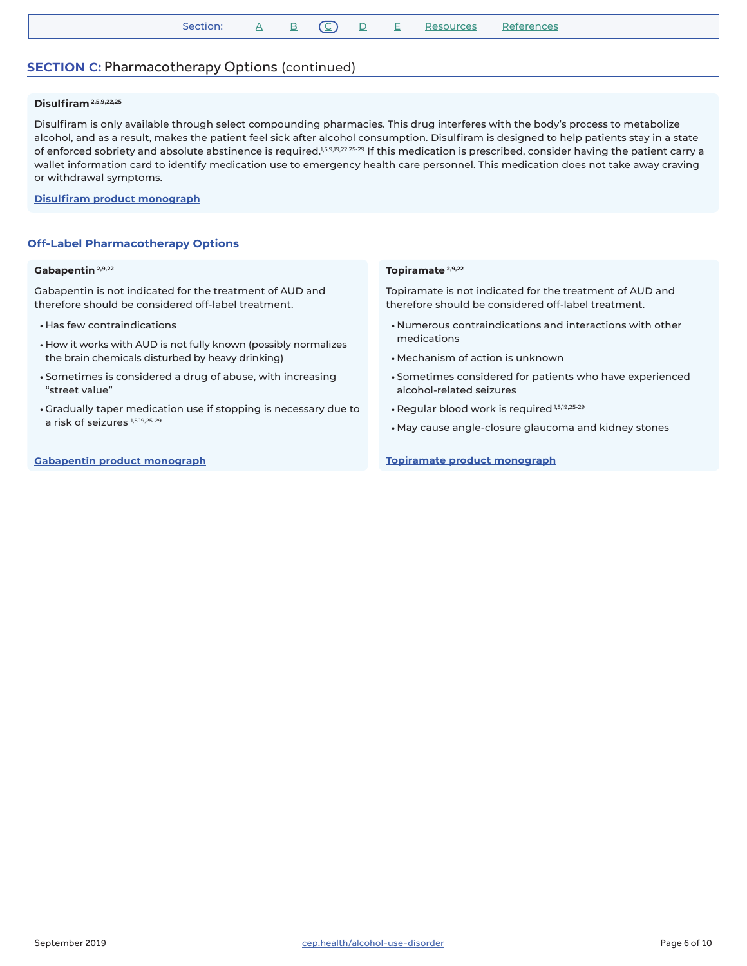| Section: | $A \quad B \quad C) \quad D \quad L$ |  |  |  |  | E Resources References |  |  |
|----------|--------------------------------------|--|--|--|--|------------------------|--|--|
|----------|--------------------------------------|--|--|--|--|------------------------|--|--|

# **SECTION C: Pharmacotherapy Options (continued)**

#### **Disulfiram 2,5,9,22,25**

Disulfiram is only available through select compounding pharmacies. This drug interferes with the body's process to metabolize alcohol, and as a result, makes the patient feel sick after alcohol consumption. Disulfiram is designed to help patients stay in a state of enforced sobriety and absolute abstinence is required.<sup>1,5,9,19,22,25-29</sup> If this medication is prescribed, consider having the patient carry a wallet information card to identify medication use to emergency health care personnel. This medication does not take away craving or withdrawal symptoms.

#### **[Disulfiram product monograph](https://link.cep.health/aud14)**

#### **Off-Label Pharmacotherapy Options**

#### **Gabapentin 2,9,22**

Gabapentin is not indicated for the treatment of AUD and therefore should be considered off-label treatment.

- Has few contraindications
- How it works with AUD is not fully known (possibly normalizes the brain chemicals disturbed by heavy drinking)
- Sometimes is considered a drug of abuse, with increasing "street value"
- Gradually taper medication use if stopping is necessary due to a risk of seizures 1,5,19,25-29

#### **[Gabapentin product monograph](https://link.cep.health/aud15)**

#### **Topiramate 2,9,22**

Topiramate is not indicated for the treatment of AUD and therefore should be considered off-label treatment.

- Numerous contraindications and interactions with other medications
- Mechanism of action is unknown
- Sometimes considered for patients who have experienced alcohol-related seizures
- Regular blood work is required 1,5,19,25-29
- May cause angle-closure glaucoma and kidney stones

**[Topiramate product monograph](https://link.cep.health/aud16)**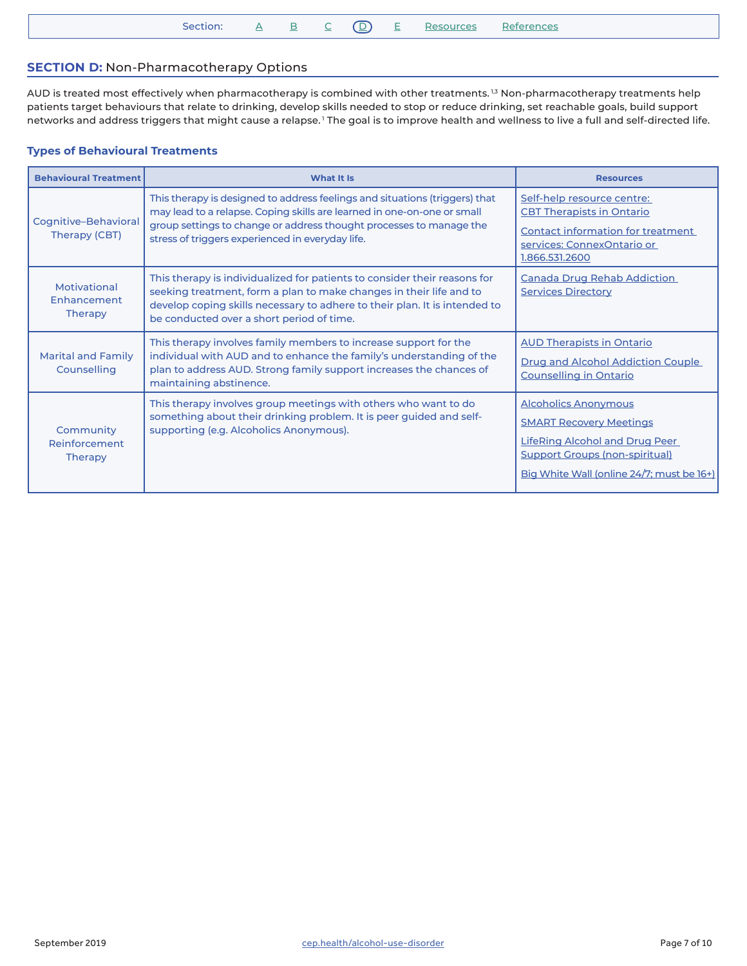|  | Section: |  |  |  |  |  | : <u>A B C</u> (D) <u>E Resources References</u> |  |
|--|----------|--|--|--|--|--|--------------------------------------------------|--|
|--|----------|--|--|--|--|--|--------------------------------------------------|--|

# <span id="page-6-0"></span>**SECTION D:** Non-Pharmacotherapy Options

AUD is treated most effectively when pharmacotherapy is combined with other treatments.<sup>1,3</sup> Non-pharmacotherapy treatments help patients target behaviours that relate to drinking, develop skills needed to stop or reduce drinking, set reachable goals, build support networks and address triggers that might cause a relapse.<sup>1</sup> The goal is to improve health and wellness to live a full and self-directed life.

# **Types of Behavioural Treatments**

| <b>Behavioural Treatment</b>                  | What It Is                                                                                                                                                                                                                                                                        | <b>Resources</b>                                                                                                                                                                             |
|-----------------------------------------------|-----------------------------------------------------------------------------------------------------------------------------------------------------------------------------------------------------------------------------------------------------------------------------------|----------------------------------------------------------------------------------------------------------------------------------------------------------------------------------------------|
| Cognitive-Behavioral<br>Therapy (CBT)         | This therapy is designed to address feelings and situations (triggers) that<br>may lead to a relapse. Coping skills are learned in one-on-one or small<br>group settings to change or address thought processes to manage the<br>stress of triggers experienced in everyday life. | Self-help resource centre:<br><b>CBT Therapists in Ontario</b><br><b>Contact information for treatment</b><br>services: ConnexOntario or<br>1.866.531.2600                                   |
| Motivational<br>Enhancement<br><b>Therapy</b> | This therapy is individualized for patients to consider their reasons for<br>seeking treatment, form a plan to make changes in their life and to<br>develop coping skills necessary to adhere to their plan. It is intended to<br>be conducted over a short period of time.       | <b>Canada Drug Rehab Addiction</b><br><b>Services Directory</b>                                                                                                                              |
| <b>Marital and Family</b><br>Counselling      | This therapy involves family members to increase support for the<br>individual with AUD and to enhance the family's understanding of the<br>plan to address AUD. Strong family support increases the chances of<br>maintaining abstinence.                                        | <b>AUD Therapists in Ontario</b><br><b>Drug and Alcohol Addiction Couple</b><br><b>Counselling in Ontario</b>                                                                                |
| Community<br>Reinforcement<br><b>Therapy</b>  | This therapy involves group meetings with others who want to do<br>something about their drinking problem. It is peer guided and self-<br>supporting (e.g. Alcoholics Anonymous).                                                                                                 | <b>Alcoholics Anonymous</b><br><b>SMART Recovery Meetings</b><br><b>LifeRing Alcohol and Drug Peer</b><br><b>Support Groups (non-spiritual)</b><br>Big White Wall (online 24/7; must be 16+) |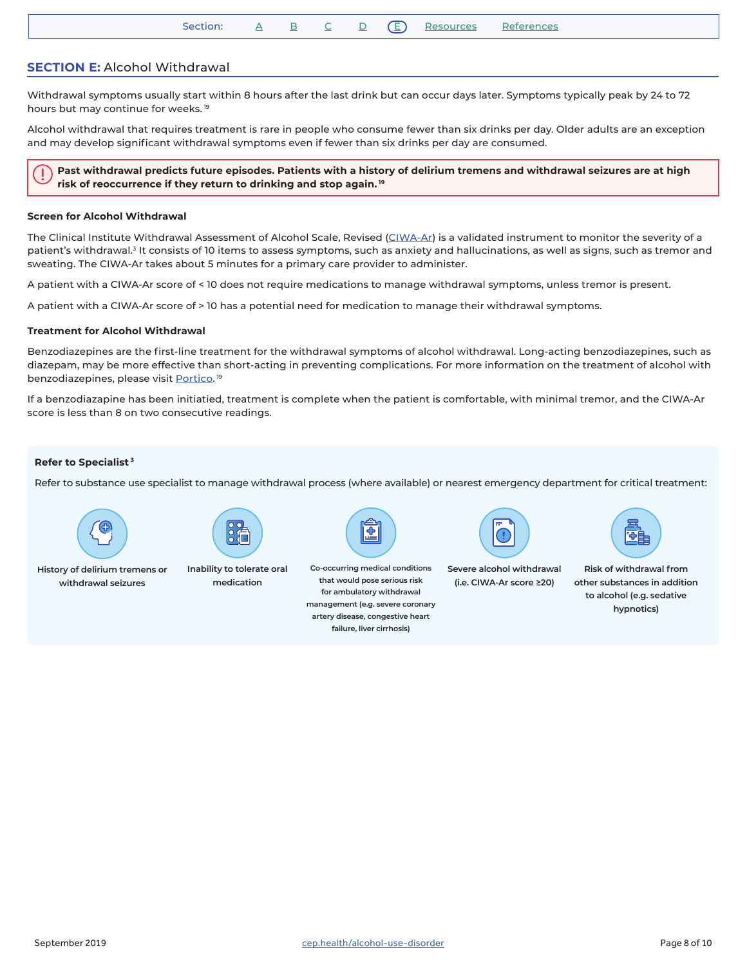| Section: |  |  | D (E) Resources References |  |
|----------|--|--|----------------------------|--|
|          |  |  |                            |  |

# <span id="page-7-0"></span>**SECTION E:** Alcohol Withdrawal

Withdrawal symptoms usually start within 8 hours after the last drink but can occur days later. Symptoms typically peak by 24 to 72 hours but may continue for weeks.<sup>19</sup>

Alcohol withdrawal that requires treatment is rare in people who consume fewer than six drinks per day. Older adults are an exception and may develop significant withdrawal symptoms even if fewer than six drinks per day are consumed.

**Past withdrawal predicts future episodes. Patients with a history of delirium tremens and withdrawal seizures are at high risk of reoccurrence if they return to drinking and stop again.<sup>19</sup>**

#### **Screen for Alcohol Withdrawal**

The Clinical Institute Withdrawal Assessment of Alcohol Scale, Revised ([CIWA-Ar](https://link.cep.health/aud17)) is a validated instrument to monitor the severity of a patient's withdrawal.<sup>3</sup> It consists of 10 items to assess symptoms, such as anxiety and hallucinations, as well as signs, such as tremor and sweating. The CIWA-Ar takes about 5 minutes for a primary care provider to administer.

A patient with a CIWA-Ar score of < 10 does not require medications to manage withdrawal symptoms, unless tremor is present.

A patient with a CIWA-Ar score of > 10 has a potential need for medication to manage their withdrawal symptoms.

#### **Treatment for Alcohol Withdrawal**

Benzodiazepines are the first-line treatment for the withdrawal symptoms of alcohol withdrawal. Long-acting benzodiazepines, such as diazepam, may be more effective than short-acting in preventing complications. For more information on the treatment of alcohol with benzodiazepines, please visit <u>Portico</u>. 19

If a benzodiazapine has been initiatied, treatment is complete when the patient is comfortable, with minimal tremor, and the CIWA-Ar score is less than 8 on two consecutive readings.

#### **Refer to Specialist 3**

Refer to substance use specialist to manage withdrawal process (where available) or nearest emergency department for critical treatment:



**withdrawal seizures**

**History of delirium tremens or** 



**Inability to tolerate oral medication**



**Co-occurring medical conditions that would pose serious risk for ambulatory withdrawal management (e.g. severe coronary artery disease, congestive heart failure, liver cirrhosis)**



**Severe alcohol withdrawal (i.e. CIWA-Ar score ≥20)**



**Risk of withdrawal from other substances in addition to alcohol (e.g. sedative hypnotics)**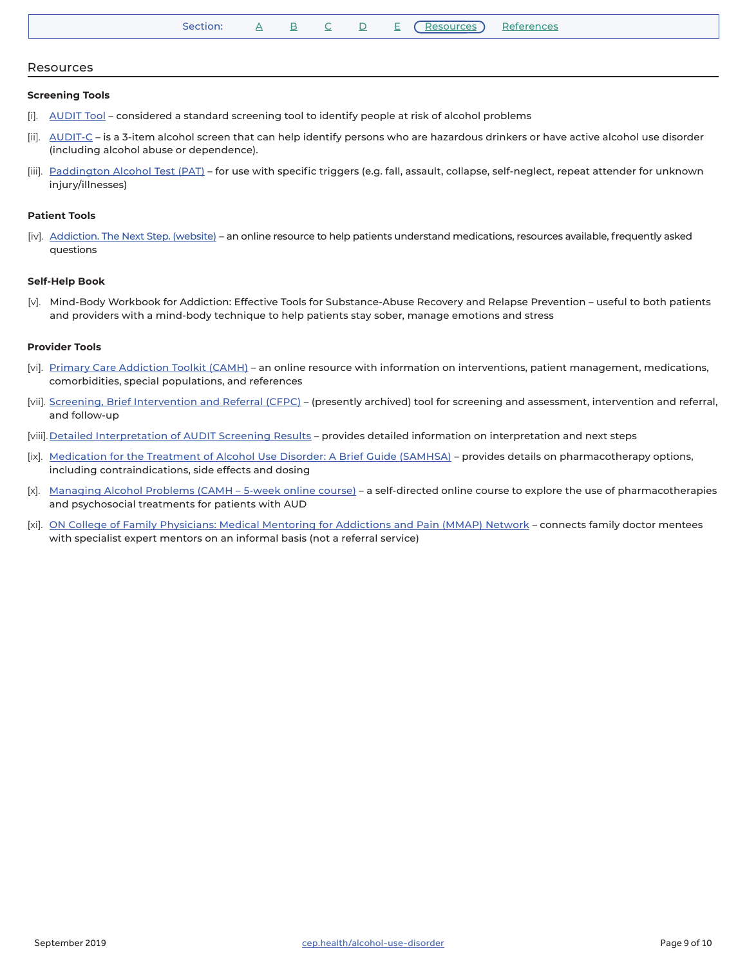| Section: |  |  |  |  |  | (Resources) References |  |  |
|----------|--|--|--|--|--|------------------------|--|--|
|----------|--|--|--|--|--|------------------------|--|--|

#### <span id="page-8-0"></span>Resources

#### **Screening Tools**

- [i]. [AUDIT Tool](https://link.cep.health/aud8) considered a standard screening tool to identify people at risk of alcohol problems
- [ii]. [AUDIT-C](https://link.cep.health/aud55) is a 3-item alcohol screen that can help identify persons who are hazardous drinkers or have active alcohol use disorder (including alcohol abuse or dependence).
- [iii]. [Paddington Alcohol Test \(PAT\)](https://link.cep.health/aud20) for use with specific triggers (e.g. fall, assault, collapse, self-neglect, repeat attender for unknown injury/illnesses)

#### **Patient Tools**

[iv]. [Addiction. The Next Step. \(website\)](https://link.cep.health/aud21) – an online resource to help patients understand medications, resources available, frequently asked questions

#### **Self-Help Book**

[v]. Mind-Body Workbook for Addiction: Effective Tools for Substance-Abuse Recovery and Relapse Prevention – useful to both patients and providers with a mind-body technique to help patients stay sober, manage emotions and stress

#### **Provider Tools**

- [vi]. [Primary Care Addiction Toolkit \(CAMH\)](https://link.cep.health/aud22) an online resource with information on interventions, patient management, medications, comorbidities, special populations, and references
- [vii]. [Screening, Brief Intervention and Referral \(CFPC\)](https://link.cep.health/aud23) (presently archived) tool for screening and assessment, intervention and referral, and follow-up
- [viii]. [Detailed Interpretation of AUDIT Screening Results](https://link.cep.health/aud9) provides detailed information on interpretation and next steps
- [ix]. [Medication for the Treatment of Alcohol Use Disorder: A Brief Guide \(SAMHSA\)](https://link.cep.health/aud5) provides details on pharmacotherapy options, including contraindications, side effects and dosing
- [x]. [Managing Alcohol Problems \(CAMH 5-week online course\)](https://link.cep.health/aud24) a self-directed online course to explore the use of pharmacotherapies and psychosocial treatments for patients with AUD
- [xi]. [ON College of Family Physicians: Medical Mentoring for Addictions and Pain \(MMAP\) Network](https://link.cep.health/aud25) connects family doctor mentees with specialist expert mentors on an informal basis (not a referral service)